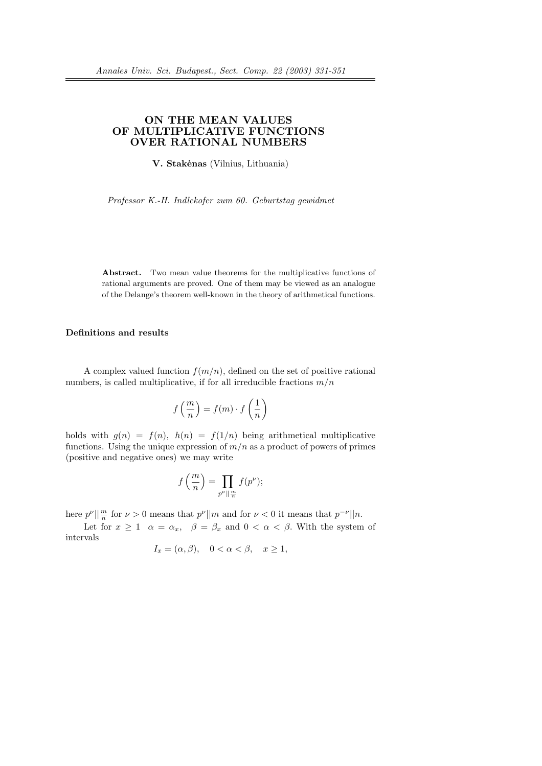# ON THE MEAN VALUES OF MULTIPLICATIVE FUNCTIONS OVER RATIONAL NUMBERS

V. Stakėnas (Vilnius, Lithuania)

Professor K.-H. Indlekofer zum 60. Geburtstag gewidmet

Abstract. Two mean value theorems for the multiplicative functions of rational arguments are proved. One of them may be viewed as an analogue of the Delange's theorem well-known in the theory of arithmetical functions.

## Definitions and results

A complex valued function  $f(m/n)$ , defined on the set of positive rational numbers, is called multiplicative, if for all irreducible fractions  $m/n$ 

$$
f\left(\frac{m}{n}\right) = f(m) \cdot f\left(\frac{1}{n}\right)
$$

holds with  $g(n) = f(n)$ ,  $h(n) = f(1/n)$  being arithmetical multiplicative functions. Using the unique expression of  $m/n$  as a product of powers of primes (positive and negative ones) we may write

$$
f\left(\frac{m}{n}\right) = \prod_{p^{\nu} \parallel \frac{m}{n}} f(p^{\nu});
$$

here  $p^{\nu} \mid \frac{m}{n}$  for  $\nu > 0$  means that  $p^{\nu} \mid \mid m$  and for  $\nu < 0$  it means that  $p^{-\nu} \mid \mid n$ .

Let for  $x \ge 1$   $\alpha = \alpha_x$ ,  $\beta = \beta_x$  and  $0 < \alpha < \beta$ . With the system of intervals

$$
I_x = (\alpha, \beta), \quad 0 < \alpha < \beta, \quad x \ge 1,
$$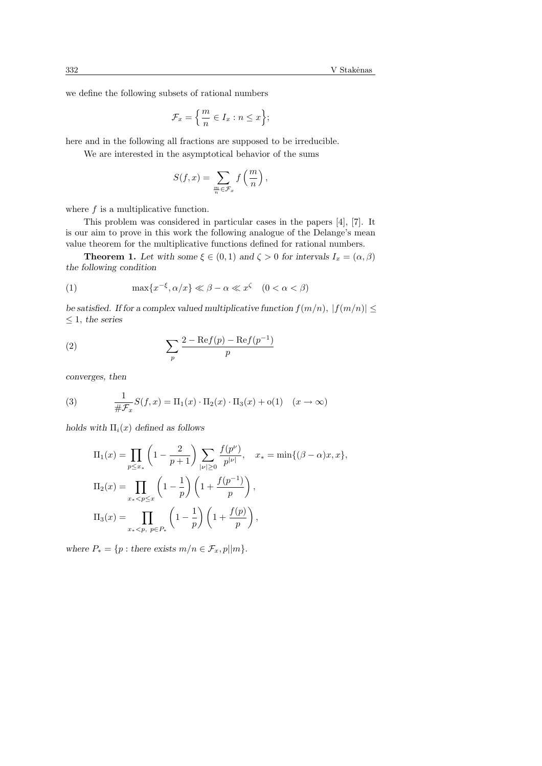we define the following subsets of rational numbers

$$
\mathcal{F}_x = \left\{ \frac{m}{n} \in I_x : n \le x \right\};
$$

here and in the following all fractions are supposed to be irreducible.

We are interested in the asymptotical behavior of the sums

$$
S(f,x) = \sum_{\frac{m}{n} \in \mathcal{F}_x} f\left(\frac{m}{n}\right),\,
$$

where  $f$  is a multiplicative function.

This problem was considered in particular cases in the papers [4], [7]. It is our aim to prove in this work the following analogue of the Delange's mean value theorem for the multiplicative functions defined for rational numbers.

**Theorem 1.** Let with some  $\xi \in (0,1)$  and  $\zeta > 0$  for intervals  $I_x = (\alpha, \beta)$ the following condition

(1) 
$$
\max\{x^{-\xi}, \alpha/x\} \ll \beta - \alpha \ll x^{\zeta} \quad (0 < \alpha < \beta)
$$

be satisfied. If for a complex valued multiplicative function  $f(m/n), |f(m/n)| \leq$  $\leq 1$ , the series

$$
(2) \qquad \qquad \sum_{p} \frac{2 - \text{Re}f(p) - \text{Re}f(p^{-1})}{p}
$$

converges, then

(3) 
$$
\frac{1}{\#\mathcal{F}_x}S(f,x) = \Pi_1(x) \cdot \Pi_2(x) \cdot \Pi_3(x) + o(1) \quad (x \to \infty)
$$

holds with  $\Pi_i(x)$  defined as follows

$$
\Pi_1(x) = \prod_{p \le x_*} \left(1 - \frac{2}{p+1}\right) \sum_{|\nu| \ge 0} \frac{f(p^{\nu})}{p^{|\nu|}}, \quad x_* = \min\{(\beta - \alpha)x, x\},
$$
  

$$
\Pi_2(x) = \prod_{x_* < p \le x} \left(1 - \frac{1}{p}\right) \left(1 + \frac{f(p^{-1})}{p}\right),
$$
  

$$
\Pi_3(x) = \prod_{x_* < p, p \in P_*} \left(1 - \frac{1}{p}\right) \left(1 + \frac{f(p)}{p}\right),
$$

where  $P_* = \{p : \text{there exists } m/n \in \mathcal{F}_x, p||m\}.$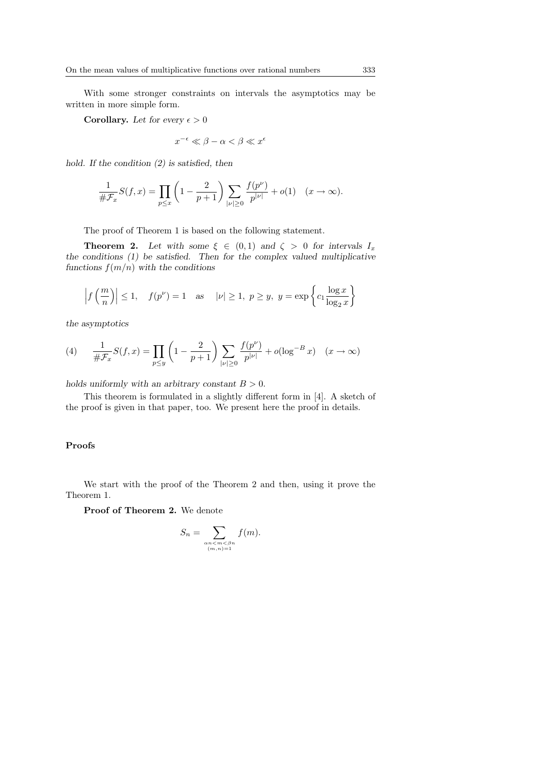With some stronger constraints on intervals the asymptotics may be written in more simple form.

Corollary. Let for every  $\epsilon > 0$ 

$$
x^{-\epsilon} \ll \beta - \alpha < \beta \ll x^{\epsilon}
$$

hold. If the condition (2) is satisfied, then

$$
\frac{1}{\#F_x}S(f,x) = \prod_{p \le x} \left(1 - \frac{2}{p+1}\right) \sum_{|\nu| \ge 0} \frac{f(p^{\nu})}{p^{|\nu|}} + o(1) \quad (x \to \infty).
$$

The proof of Theorem 1 is based on the following statement.

**Theorem 2.** Let with some  $\xi \in (0,1)$  and  $\zeta > 0$  for intervals  $I_x$ the conditions (1) be satisfied. Then for the complex valued multiplicative functions  $f(m/n)$  with the conditions

$$
\left| f\left(\frac{m}{n}\right) \right| \le 1, \quad f(p^{\nu}) = 1 \quad \text{as} \quad |\nu| \ge 1, \ p \ge y, \ y = \exp\left\{c_1 \frac{\log x}{\log_2 x}\right\}
$$

the asymptotics

(4) 
$$
\frac{1}{\#F_x}S(f,x) = \prod_{p \le y} \left(1 - \frac{2}{p+1}\right) \sum_{|\nu| \ge 0} \frac{f(p^{\nu})}{p^{|\nu|}} + o(\log^{-B} x) \quad (x \to \infty)
$$

holds uniformly with an arbitrary constant  $B > 0$ .

This theorem is formulated in a slightly different form in [4]. A sketch of the proof is given in that paper, too. We present here the proof in details.

## Proofs

We start with the proof of the Theorem 2 and then, using it prove the Theorem 1.

Proof of Theorem 2. We denote

$$
S_n = \sum_{\substack{\alpha n < m < \beta n \\ (m,n)=1}} f(m).
$$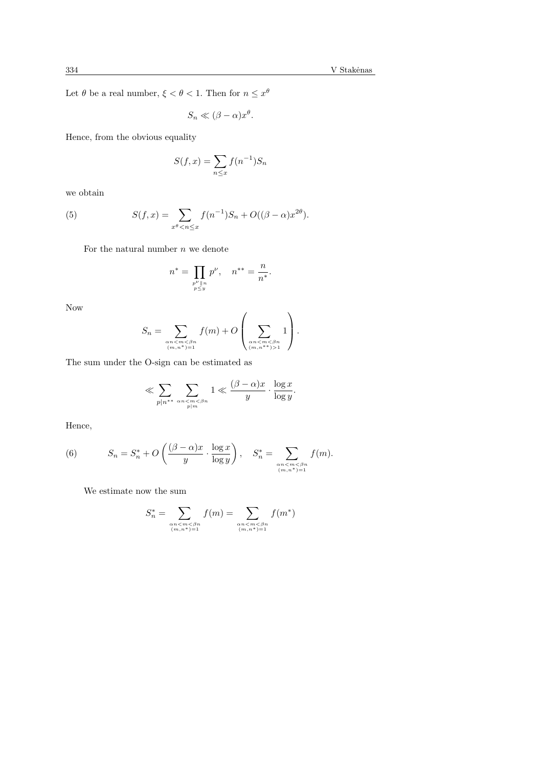Let  $\theta$  be a real number,  $\xi < \theta < 1$ . Then for  $n \leq x^{\theta}$ 

$$
S_n \ll (\beta - \alpha)x^{\theta}.
$$

Hence, from the obvious equality

$$
S(f, x) = \sum_{n \le x} f(n^{-1}) S_n
$$

we obtain

(5) 
$$
S(f, x) = \sum_{x^{\theta} < n \leq x} f(n^{-1}) S_n + O((\beta - \alpha)x^{2\theta}).
$$

For the natural number  $n$  we denote

$$
n^* = \prod_{\substack{p^{\nu} \parallel n \\ p \le y}} p^{\nu}, \quad n^{**} = \frac{n}{n^*}.
$$

Now

$$
S_n = \sum_{\substack{\alpha n < m < \beta n \\ (m,n^*) = 1}} f(m) + O\left(\sum_{\substack{\alpha n < m < \beta n \\ (m,n^{**}) > 1}} 1\right).
$$

The sum under the O-sign can be estimated as

$$
\ll \sum_{p|n^{**}} \sum_{\substack{\alpha n < m < \beta n \\ p|m}} 1 \ll \frac{(\beta - \alpha)x}{y} \cdot \frac{\log x}{\log y}.
$$

Hence,

(6) 
$$
S_n = S_n^* + O\left(\frac{(\beta - \alpha)x}{y} \cdot \frac{\log x}{\log y}\right), \quad S_n^* = \sum_{\substack{\alpha n < m < \beta n \\ (m, n^*) = 1}} f(m).
$$

We estimate now the sum

$$
S_n^* = \sum_{\substack{\alpha n < m < \beta n \\ (m, n^*) = 1}} f(m) = \sum_{\substack{\alpha n < m < \beta n \\ (m, n^*) = 1}} f(m^*)
$$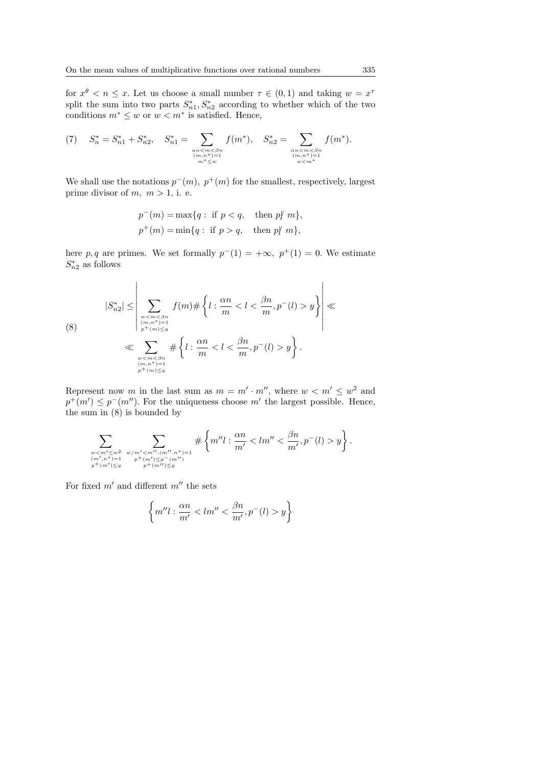for  $x^{\theta} < n \leq x$ . Let us choose a small number  $\tau \in (0,1)$  and taking  $w = x^{\tau}$ split the sum into two parts  $S_{n_1}^*, S_{n_2}^*$  according to whether which of the two conditions  $m^* \leq w$  or  $w < m^*$  is satisfied. Hence,

(7) 
$$
S_n^* = S_{n1}^* + S_{n2}^*
$$
,  $S_{n1}^* = \sum_{\substack{\text{on} < m < \beta n \\ (m, n^*) = 1 \\ m^* \le w}} f(m^*), S_{n2}^* = \sum_{\substack{\text{on} < m < \beta n \\ (m, n^*) = 1 \\ w < m^*}} f(m^*).$ 

We shall use the notations  $p^-(m)$ ,  $p^+(m)$  for the smallest, respectively, largest prime divisor of  $m, m > 1$ , i. e.

$$
p^-(m)=\max\{q:\text{ if }p  

$$
p^+(m)=\min\{q:\text{ if }p>q,\quad \text{then }p\not|\ m\},
$$
$$

here p, q are primes. We set formally  $p^{-}(1) = +\infty$ ,  $p^{+}(1) = 0$ . We estimate  $S_{n2}^*$  as follows

$$
|S_{n2}^*| \leq \left|\sum_{\substack{w < m < \beta n \\ (m,n^*)=1 \\ p^+(m) \leq y \\ w < m < \beta n \\ \sum_{\substack{w < m < \beta n \\ (m,n^*)=1 \\ p^+(m) \leq y}} f(m) \# \left\{ l : \frac{\alpha n}{m} < l < \frac{\beta n}{m}, p^-(l) > y \right\} \right| \ll
$$

Represent now m in the last sum as  $m = m' \cdot m''$ , where  $w < m' \leq w^2$  and  $p^+(m') \leq p^-(m'')$ . For the uniqueness choose m' the largest possible. Hence, the sum in (8) is bounded by

$$
\sum_{\substack{w < m' \leq w^2 \\ (m',n^*) = 1 \\ p^+(m') \leq y}} \sum_{\substack{w/m' < m'', (m'',n^*) = 1 \\ p^+(m') \leq p^-(m'')}} \# \left\{ m'' l : \frac{\alpha n}{m'} < l m'' < \frac{\beta n}{m'}, p^-(l) > y \right\}.
$$

For fixed  $m'$  and different  $m''$  the sets

$$
\left\{m''l:\frac{\alpha n}{m'}y\right\}
$$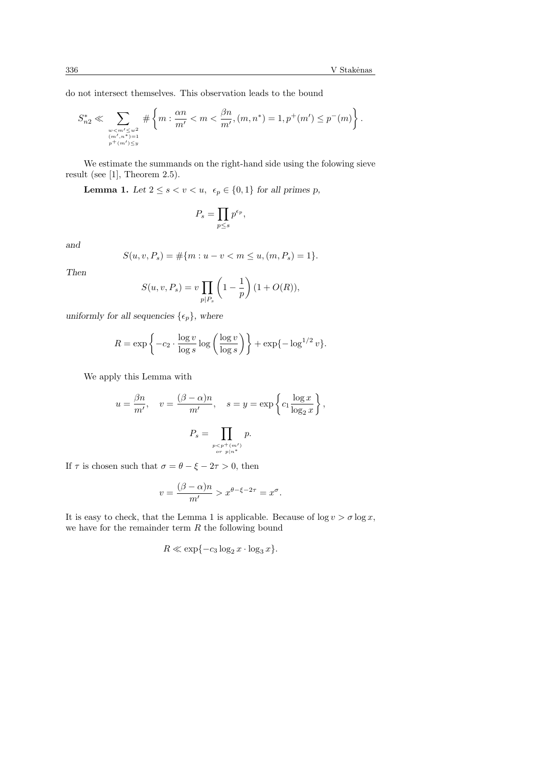do not intersect themselves. This observation leads to the bound

$$
S_{n2}^* \ll \sum_{\substack{w < m' \leq w^2 \\ (m', n'') = 1 \\ p^+(m') \leq y}} \# \left\{ m : \frac{\alpha n}{m'} < m < \frac{\beta n}{m'}, (m, n^*) = 1, p^+(m') \leq p^-(m) \right\}.
$$

We estimate the summands on the right-hand side using the folowing sieve result (see [1], Theorem 2.5).

Lemma 1. Let  $2 \leq s < v < u$ ,  $\epsilon_p \in \{0,1\}$  for all primes p,

$$
P_s = \prod_{p \le s} p^{\epsilon_p},
$$

and

$$
S(u, v, P_s) = \#\{m : u - v < m \le u, (m, P_s) = 1\}.
$$

Then

$$
S(u, v, P_s) = v \prod_{p | P_s} \left( 1 - \frac{1}{p} \right) (1 + O(R)),
$$

uniformly for all sequencies  $\{\epsilon_p\}$ , where

$$
R = \exp\left\{-c_2 \cdot \frac{\log v}{\log s} \log \left(\frac{\log v}{\log s}\right)\right\} + \exp\{-\log^{1/2} v\}.
$$

We apply this Lemma with

$$
u = \frac{\beta n}{m'}, \quad v = \frac{(\beta - \alpha)n}{m'}, \quad s = y = \exp\left\{c_1 \frac{\log x}{\log_2 x}\right\},
$$

$$
P_s = \prod_{\substack{p < p^+(m') \\ \text{or } p \mid n^*}} p.
$$

If  $\tau$  is chosen such that  $\sigma = \theta - \xi - 2\tau > 0$ , then

$$
v = \frac{(\beta - \alpha)n}{m'} > x^{\theta - \xi - 2\tau} = x^{\sigma}.
$$

It is easy to check, that the Lemma 1 is applicable. Because of  $\log v > \sigma \log x$ , we have for the remainder term  $R$  the following bound

$$
R \ll \exp\{-c_3 \log_2 x \cdot \log_3 x\}.
$$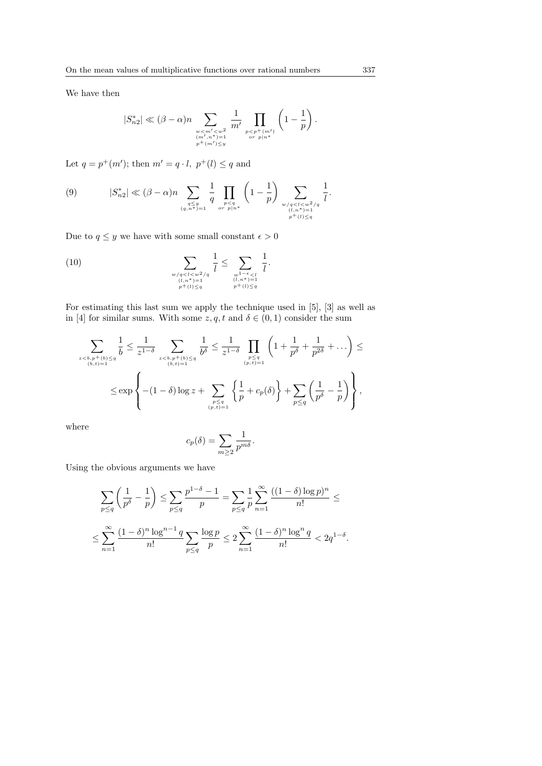We have then

$$
|S_{n2}^*| \ll (\beta - \alpha)n \sum_{\substack{w < m' < w^2 \\ (m', n^*) = 1 \\ p^+(m') \leq y}} \frac{1}{m'} \prod_{\substack{p < p^+(m') \\ or \ p \mid n^*}} \left(1 - \frac{1}{p}\right)
$$

Let  $q = p^+(m')$ ; then  $m' = q \cdot l$ ,  $p^+(l) \leq q$  and

$$
(9) \qquad |S_{n2}^{*}| \ll (\beta - \alpha)n \sum_{\substack{q \le y \\ (q, n^{*}) = 1}} \frac{1}{q} \prod_{\substack{p < q \\ \text{or } p \mid n^{*}}} \left(1 - \frac{1}{p}\right) \sum_{\substack{w/q < l < w^{2}/q \\ (l, n^{*}) = 1 \\ p^{+}(l) \le q}} \frac{1}{l}.
$$

Due to  $q\leq y$  we have with some small constant  $\epsilon>0$ 

(10) 
$$
\sum_{\substack{w/q < l < w^2/q \\ (l,n^*)=1 \\ p^+(l) \le q}} \frac{1}{l} \le \sum_{\substack{w^{1-\epsilon} < l \\ (l,n^*)=1 \\ p^+(l) \le q}} \frac{1}{l}.
$$

For estimating this last sum we apply the technique used in [5], [3] as well as in [4] for similar sums. With some  $z, q, t$  and  $\delta \in (0, 1)$  consider the sum

$$
\sum_{\substack{z < b, p^{+}(b) \leq q \\ (b, t) = 1}} \frac{1}{b} \leq \frac{1}{z^{1-\delta}} \sum_{\substack{z < b, p^{+}(b) \leq q \\ (b, t) = 1}} \frac{1}{b^{\delta}} \leq \frac{1}{z^{1-\delta}} \prod_{\substack{p \leq q \\ (p, t) = 1}} \left(1 + \frac{1}{p^{\delta}} + \frac{1}{p^{2\delta}} + \dots\right) \leq \sum_{\substack{(b, t) = 1 \\ (p, t) = 1}} \left(1 + \frac{1}{p^{\delta}} + \frac{1}{p^{2\delta}} + \dots\right) \leq \sum_{\substack{p \leq q \\ (p, t) = 1}} \left(1 + \frac{1}{p^{\delta}} + \frac{1}{p^{2\delta}} + \dots\right) \leq \sum_{\substack{p \leq q \\ (p, t) = 1}} \left(1 + \frac{1}{p^{\delta}} + \frac{1}{p^{2\delta}} + \dots\right) \leq \sum_{\substack{p \leq q \\ (p, t) = 1}} \left(1 + \frac{1}{p^{\delta}} + \frac{1}{p^{2\delta}} + \dots\right) \leq \sum_{\substack{p \leq q \\ (p, t) = 1}} \left(1 + \frac{1}{p^{\delta}} + \frac{1}{p^{2\delta}} + \dots\right) \leq \sum_{\substack{p \leq q \\ (p, t) = 1}} \left(1 + \frac{1}{p^{\delta}} + \frac{1}{p^{2\delta}} + \dots\right) \leq \sum_{\substack{p \leq q \\ (p, t) = 1}} \left(1 + \frac{1}{p^{\delta}} + \frac{1}{p^{2\delta}} + \dots\right) \leq \sum_{\substack{p \leq q \\ (p, t) = 1}} \left(1 + \frac{1}{p^{\delta}} + \frac{1}{p^{2\delta}} + \dots\right) \leq \sum_{\substack{p \leq q \\ (p, t) = 1}} \left(1 + \frac{1}{p^{\delta}} + \frac{1}{p^{2\delta}} + \dots\right) \leq \sum_{\substack{p \leq q \\ (p, t) = 1}} \left(1 + \frac{1}{p^{\delta}} + \dots\right) \leq \sum_{\substack{p \leq q \\ (p, t) = 1}} \left(
$$

where

$$
c_p(\delta) = \sum_{m \ge 2} \frac{1}{p^{m\delta}}.
$$

Using the obvious arguments we have

$$
\sum_{p \le q} \left( \frac{1}{p^{\delta}} - \frac{1}{p} \right) \le \sum_{p \le q} \frac{p^{1-\delta} - 1}{p} = \sum_{p \le q} \frac{1}{p} \sum_{n=1}^{\infty} \frac{((1-\delta)\log p)^n}{n!} \le
$$
  

$$
\le \sum_{n=1}^{\infty} \frac{(1-\delta)^n \log^{n-1} q}{n!} \sum_{p \le q} \frac{\log p}{p} \le 2 \sum_{n=1}^{\infty} \frac{(1-\delta)^n \log^n q}{n!} < 2q^{1-\delta}.
$$

.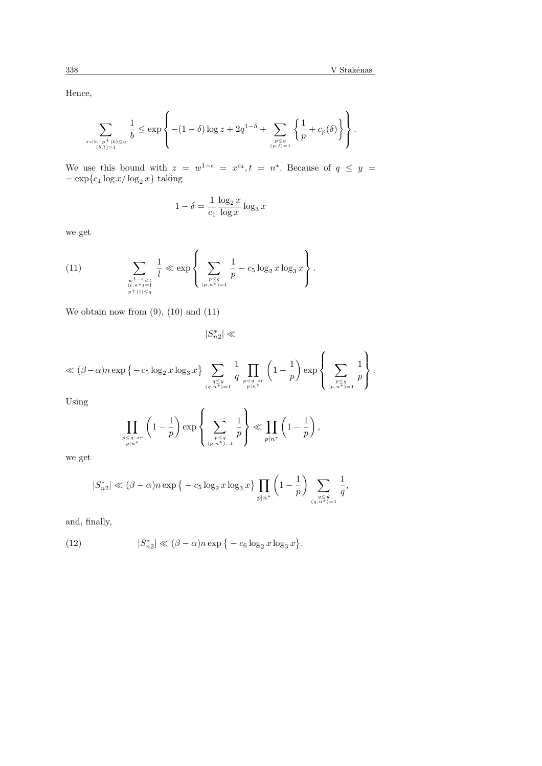Hence,

$$
\sum_{\substack{z < b, \ p^+(b) \leq q \\ (b,t)=1}} \frac{1}{b} \leq \exp \left\{ -(1-\delta) \log z + 2q^{1-\delta} + \sum_{\substack{p \leq q \\ (p,t)=1}} \left\{ \frac{1}{p} + c_p(\delta) \right\} \right\}.
$$

We use this bound with  $z = w^{1-\epsilon} = x^{c_4}, t = n^*$ . Because of  $q \leq y$  $=\exp\{c_1 \log x / \log_2 x\}$  taking

$$
1 - \delta = \frac{1}{c_1} \frac{\log_2 x}{\log x} \log_3 x
$$

we get

(11) 
$$
\sum_{\substack{w^{1-\epsilon} < l \\ (l,n^*)=1 \\ p^+(l) \le q}} \frac{1}{l} \ll \exp \left\{ \sum_{\substack{p \le q \\ (p,n^*)=1 \\ (p,n^*)=1}} \frac{1}{p} - c_5 \log_2 x \log_3 x \right\}.
$$

We obtain now from  $(9)$ ,  $(10)$  and  $(11)$ 

 $|S_{n2}^*| \ll$ 

$$
\ll(\beta-\alpha)n\exp\big\{-c_5\log_2x\log_3x\big\}\sum_{\substack{q\le y\\ (q,n^*)=1}}\frac{1}{q}\prod_{\substack{p< q\ or\\ p|n^*}}\left(1-\frac{1}{p}\right)\exp\left\{\sum_{\substack{p\le q\\ (p,n^*)=1}}\frac{1}{p}\right\}.
$$

Using

$$
\prod_{\substack{p \leq q \\ p \mid n^*}} \left(1 - \frac{1}{p}\right) \exp\left\{\sum_{\substack{p \leq q \\ (p, n^*) = 1}} \frac{1}{p}\right\} \ll \prod_{p \mid n^*} \left(1 - \frac{1}{p}\right),
$$

we get

$$
|S_{n2}^*| \ll (\beta - \alpha) n \exp \big\{ -c_5 \log_2 x \log_3 x \big\} \prod_{p | n^*} \left( 1 - \frac{1}{p} \right) \sum_{\substack{q \le y \\ (q, n^*) = 1}} \frac{1}{q},
$$

and, finally,

(12) 
$$
|S_{n2}^*| \ll (\beta - \alpha)n \exp \{-c_6 \log_2 x \log_3 x\}.
$$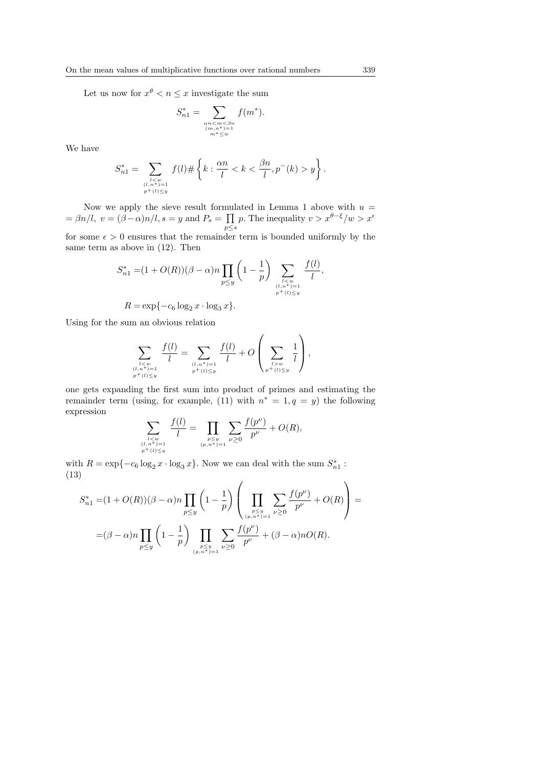Let us now for  $x^{\theta} < n \leq x$  investigate the sum

$$
S_{n1}^* = \sum_{\substack{\alpha n < m < \beta n \\ (m, n^*) = 1 \\ m^* \le w}} f(m^*).
$$

We have

$$
S_{n1}^{*} = \sum_{\substack{l < w \\ (l, n^{*}) = 1 \\ p^{+}(l) \le y}} f(l) \# \left\{ k : \frac{\alpha n}{l} < k < \frac{\beta n}{l}, p^{-}(k) > y \right\}.
$$

Now we apply the sieve result formulated in Lemma 1 above with  $u =$ Now we apply the sleve result formulated in Lemma 1 above with  $u =$ <br>=  $\beta n/l$ ,  $v = (\beta - \alpha)n/l$ ,  $s = y$  and  $P_s = \prod p$ . The inequality  $v > x^{\theta - \xi}/w > x^{\epsilon}$  $p \leq s$ 

for some  $\epsilon > 0$  ensures that the remainder term is bounded uniformly by the same term as above in (12). Then

$$
S_{n1}^{*} = (1 + O(R))(\beta - \alpha)n \prod_{p \le y} \left(1 - \frac{1}{p}\right) \sum_{\substack{l < w \\ (l, n^{*}) = 1 \\ p^{+}(l) \le y}} \frac{f(l)}{l},
$$
  

$$
R = \exp\{-c_{6} \log_{2} x \cdot \log_{3} x\}.
$$

Using for the sum an obvious relation

$$
\sum_{\substack{l < w \\ (l, n^*) = 1 \\ p^+(l) < y}} \frac{f(l)}{l} = \sum_{\substack{(l, n^*) = 1 \\ p^+(l) \le y}} \frac{f(l)}{l} + O\left(\sum_{\substack{l > w \\ p^+(l) \le y}} \frac{1}{l}\right),
$$

one gets expanding the first sum into product of primes and estimating the remainder term (using, for example, (11) with  $n^* = 1, q = y$ ) the following expression

$$
\sum_{\substack{l < w \\ (l, n^*) = 1 \\ p^+(l) \le y}} \frac{f(l)}{l} = \prod_{\substack{p \le y \\ (p, n^*) = 1}} \sum_{\nu \ge 0} \frac{f(p^{\nu})}{p^{\nu}} + O(R),
$$

with  $R = \exp\{-c_6 \log_2 x \cdot \log_3 x\}$ . Now we can deal with the sum  $S_{n_1}^*$ : (13)  $\overline{\phantom{a}}$  $\mathbf{r}$ 

$$
S_{n1}^{*} = (1 + O(R))(\beta - \alpha)n \prod_{p \le y} \left(1 - \frac{1}{p}\right) \left(\prod_{\substack{p \le y \\ (p, n^{*}) = 1}} \sum_{\nu \ge 0} \frac{f(p^{\nu})}{p^{\nu}} + O(R)\right) =
$$
  
=  $(\beta - \alpha)n \prod_{p \le y} \left(1 - \frac{1}{p}\right) \prod_{\substack{p \le y \\ (p, n^{*}) = 1}} \sum_{\nu \ge 0} \frac{f(p^{\nu})}{p^{\nu}} + (\beta - \alpha)nO(R).$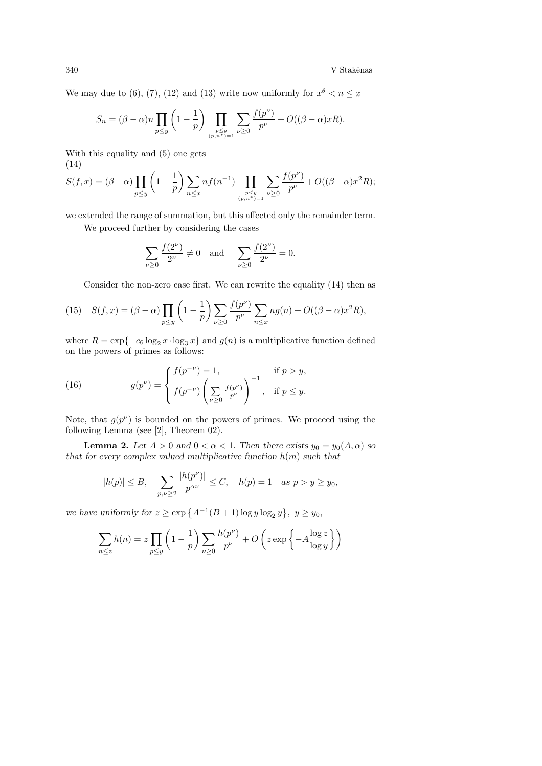We may due to (6), (7), (12) and (13) write now uniformly for  $x^{\theta} < n \leq x$ 

$$
S_n = (\beta - \alpha)n \prod_{p \le y} \left(1 - \frac{1}{p}\right) \prod_{\substack{p \le y \\ (p, n^*) = 1}} \sum_{\nu \ge 0} \frac{f(p^{\nu})}{p^{\nu}} + O((\beta - \alpha)xR).
$$

With this equality and (5) one gets (14)

$$
S(f, x) = (\beta - \alpha) \prod_{p \le y} \left( 1 - \frac{1}{p} \right) \sum_{n \le x} n f(n^{-1}) \prod_{\substack{p \le y \\ (p, n^*) = 1}} \sum_{\nu \ge 0} \frac{f(p^{\nu})}{p^{\nu}} + O((\beta - \alpha)x^2 R);
$$

we extended the range of summation, but this affected only the remainder term.

We proceed further by considering the cases

$$
\sum_{\nu \ge 0} \frac{f(2^{\nu})}{2^{\nu}} \ne 0 \text{ and } \sum_{\nu \ge 0} \frac{f(2^{\nu})}{2^{\nu}} = 0.
$$

Consider the non-zero case first. We can rewrite the equality (14) then as

(15) 
$$
S(f, x) = (\beta - \alpha) \prod_{p \le y} \left(1 - \frac{1}{p}\right) \sum_{\nu \ge 0} \frac{f(p^{\nu})}{p^{\nu}} \sum_{n \le x} n g(n) + O((\beta - \alpha)x^{2} R),
$$

where  $R = \exp\{-c_6 \log_2 x \cdot \log_3 x\}$  and  $g(n)$  is a multiplicative function defined on the powers of primes as follows:

(16) 
$$
g(p^{\nu}) = \begin{cases} f(p^{-\nu}) = 1, & \text{if } p > y, \\ f(p^{-\nu}) \left( \sum_{\nu \ge 0} \frac{f(p^{\nu})}{p^{\nu}} \right)^{-1}, & \text{if } p \le y. \end{cases}
$$

Note, that  $g(p^{\nu})$  is bounded on the powers of primes. We proceed using the following Lemma (see [2], Theorem 02).

**Lemma 2.** Let  $A > 0$  and  $0 < \alpha < 1$ . Then there exists  $y_0 = y_0(A, \alpha)$  so that for every complex valued multiplicative function  $h(m)$  such that

$$
|h(p)| \leq B, \quad \sum_{p,\nu \geq 2} \frac{|h(p^{\nu})|}{p^{\alpha \nu}} \leq C, \quad h(p) = 1 \quad as \ p > y \geq y_0,
$$

we have uniformly for  $z \ge \exp\left\{A^{-1}(B+1)\log y \log_2 y\right\}$ ª  $y \geq y_0$ 

$$
\sum_{n \le z} h(n) = z \prod_{p \le y} \left( 1 - \frac{1}{p} \right) \sum_{\nu \ge 0} \frac{h(p^{\nu})}{p^{\nu}} + O\left(z \exp\left\{-A \frac{\log z}{\log y}\right\}\right)
$$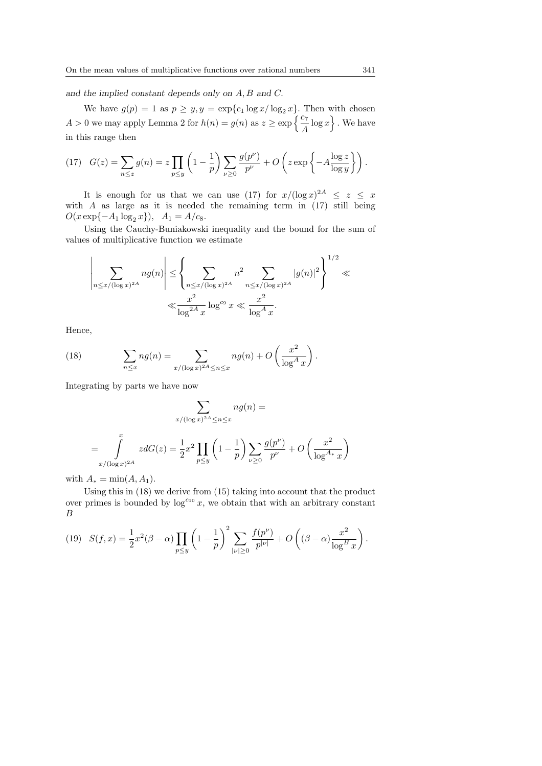and the implied constant depends only on A, B and C.

We have  $g(p) = 1$  as  $p \geq y, y = \exp\{c_1 \log x / \log_2 x\}$ . Then with chosen We have  $g(p) = 1$  as  $p \geq y, y = \exp\{c_1 \log x / \log_2 x\}$ . Then<br>  $A > 0$  we may apply Lemma 2 for  $h(n) = g(n)$  as  $z \geq \exp\left\{\frac{c_7}{A} \log x\right\}$ w.<br>N . We have in this range then

(17) 
$$
G(z) = \sum_{n \leq z} g(n) = z \prod_{p \leq y} \left( 1 - \frac{1}{p} \right) \sum_{\nu \geq 0} \frac{g(p^{\nu})}{p^{\nu}} + O \left( z \exp \left\{ -A \frac{\log z}{\log y} \right\} \right).
$$

It is enough for us that we can use (17) for  $x/(\log x)^{2A} \leq z \leq x$ with  $A$  as large as it is needed the remaining term in  $(17)$  still being  $O(x \exp\{-A_1 \log_2 x\}), \quad A_1 = A/c_8.$ 

Using the Cauchy-Buniakowski inequality and the bound for the sum of values of multiplicative function we estimate

$$
\left| \sum_{n \le x/(\log x)^{2A}} n g(n) \right| \le \left\{ \sum_{n \le x/(\log x)^{2A}} n^2 \sum_{n \le x/(\log x)^{2A}} |g(n)|^2 \right\}^{1/2} \ll \frac{x^2}{\log^{2A} x} \log^{c_9} x \ll \frac{x^2}{\log^A x}.
$$

Hence,

(18) 
$$
\sum_{n \leq x} n g(n) = \sum_{x/(\log x)^{2A} \leq n \leq x} n g(n) + O\left(\frac{x^2}{\log^A x}\right).
$$

Integrating by parts we have now

$$
\sum_{x/(\log x)^{2A} \le n \le x} n g(n) =
$$
  
= 
$$
\int_{x/(\log x)^{2A}}^{x} z dG(z) = \frac{1}{2} x^2 \prod_{p \le y} \left(1 - \frac{1}{p}\right) \sum_{\nu \ge 0} \frac{g(p^{\nu})}{p^{\nu}} + O\left(\frac{x^2}{\log^{A*} x}\right)
$$

with  $A_* = \min(A, A_1)$ .

Using this in (18) we derive from (15) taking into account that the product over primes is bounded by  $\log^{c_{10}} x$ , we obtain that with an arbitrary constant B

(19) 
$$
S(f,x) = \frac{1}{2}x^2(\beta - \alpha) \prod_{p \le y} \left(1 - \frac{1}{p}\right)^2 \sum_{|\nu| \ge 0} \frac{f(p^{\nu})}{p^{|\nu|}} + O\left((\beta - \alpha) \frac{x^2}{\log^B x}\right).
$$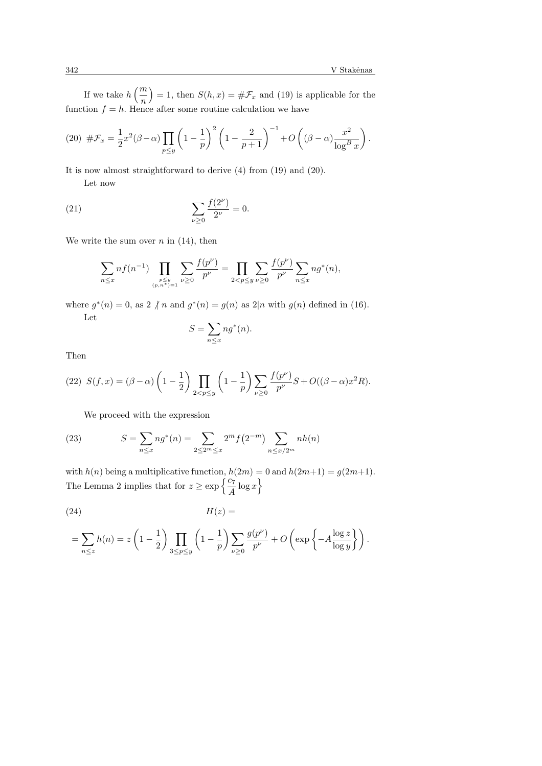If we take  $h\left(\frac{m}{m}\right)$ n ´  $= 1$ , then  $S(h, x) = #\mathcal{F}_x$  and (19) is applicable for the function  $f = h$ . Hence after some routine calculation we have

(20) 
$$
\# \mathcal{F}_x = \frac{1}{2} x^2 (\beta - \alpha) \prod_{p \le y} \left( 1 - \frac{1}{p} \right)^2 \left( 1 - \frac{2}{p+1} \right)^{-1} + O \left( (\beta - \alpha) \frac{x^2}{\log^B x} \right).
$$

It is now almost straightforward to derive (4) from (19) and (20).

Let now

(21) 
$$
\sum_{\nu \geq 0} \frac{f(2^{\nu})}{2^{\nu}} = 0.
$$

We write the sum over  $n$  in (14), then

$$
\sum_{n \leq x} n f(n^{-1}) \prod_{\substack{p \leq y \\ (p, n^*) = 1}} \sum_{\nu \geq 0} \frac{f(p^{\nu})}{p^{\nu}} = \prod_{2 < p \leq y} \sum_{\nu \geq 0} \frac{f(p^{\nu})}{p^{\nu}} \sum_{n \leq x} n g^*(n),
$$

where  $g^*(n) = 0$ , as  $2 \nmid n$  and  $g^*(n) = g(n)$  as  $2|n$  with  $g(n)$  defined in (16). Let  $\overline{\phantom{a}}$ 

$$
S = \sum_{n \le x} n g^*(n).
$$

Then

(22) 
$$
S(f, x) = (\beta - \alpha) \left(1 - \frac{1}{2}\right) \prod_{2 < p \le y} \left(1 - \frac{1}{p}\right) \sum_{\nu \ge 0} \frac{f(p^{\nu})}{p^{\nu}} S + O((\beta - \alpha)x^2 R).
$$

We proceed with the expression

(23) 
$$
S = \sum_{n \le x} n g^*(n) = \sum_{2 \le 2^m \le x} 2^m f(2^{-m}) \sum_{n \le x/2^m} n h(n)
$$

with  $h(n)$  being a multiplicative function,  $h(2m) = 0$  and  $h(2m+1) = g(2m+1)$ . The Lemma 2 implies that for  $z \ge \exp\left\{\frac{c_7}{A}\log x\right\}$ 

(24) H(z) =

$$
= \sum_{n \leq z} h(n) = z \left( 1 - \frac{1}{2} \right) \prod_{3 \leq p \leq y} \left( 1 - \frac{1}{p} \right) \sum_{\nu \geq 0} \frac{g(p^{\nu})}{p^{\nu}} + O \left( \exp \left\{ -A \frac{\log z}{\log y} \right\} \right).
$$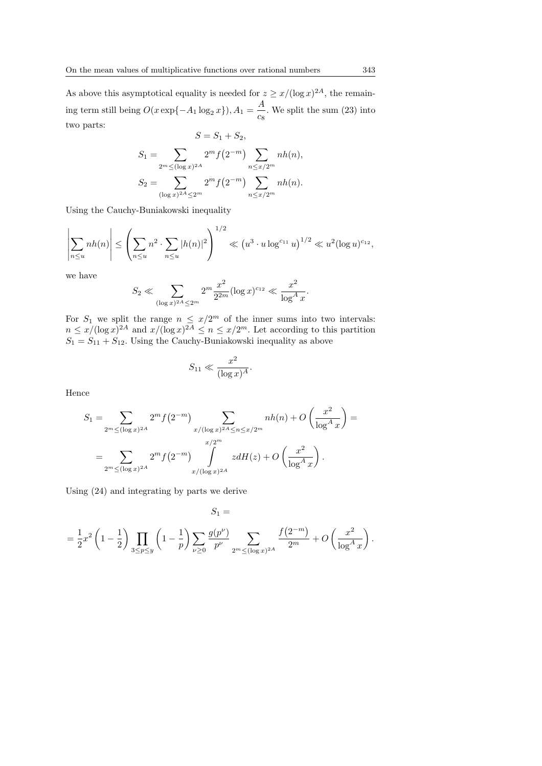As above this asymptotical equality is needed for  $z \geq x/(\log x)^{2A}$ , the remaining term still being  $O(x \exp\{-A_1 \log_2 x\}), A_1 = \frac{A}{a_1}$  $\frac{1}{c_8}$ . We split the sum (23) into two parts:  $S = S_1 + S_2$ 

$$
S_1 = \sum_{2^m \leq (\log x)^{2A}} 2^m f(2^{-m}) \sum_{n \leq x/2^m} nh(n),
$$
  
\n
$$
S_2 = \sum_{(\log x)^{2A} \leq 2^m} 2^m f(2^{-m}) \sum_{n \leq x/2^m} nh(n).
$$

Using the Cauchy-Buniakowski inequality

$$
\left|\sum_{n\leq u} nh(n)\right| \leq \left(\sum_{n\leq u} n^2 \cdot \sum_{n\leq u} |h(n)|^2\right)^{1/2} \ll \left(u^3 \cdot u \log^{c_{11}} u\right)^{1/2} \ll u^2 (\log u)^{c_{12}},
$$

we have

$$
S_2 \ll \sum_{(\log x)^{2A} \le 2^m} 2^m \frac{x^2}{2^{2m}} (\log x)^{c_{12}} \ll \frac{x^2}{\log^A x}.
$$

For  $S_1$  we split the range  $n \leq x/2^m$  of the inner sums into two intervals:  $n \leq x/(\log x)^{2A}$  and  $x/(\log x)^{2A} \leq n \leq x/2^m$ . Let according to this partition  $S_1 = S_{11} + S_{12}$ . Using the Cauchy-Buniakowski inequality as above

$$
S_{11} \ll \frac{x^2}{(\log x)^A}.
$$

Hence

$$
S_1 = \sum_{2^m \leq (\log x)^{2A}} 2^m f(2^{-m}) \sum_{x/(\log x)^{2A} \leq n \leq x/2^m} nh(n) + O\left(\frac{x^2}{\log^A x}\right) =
$$
  
= 
$$
\sum_{2^m \leq (\log x)^{2A}} 2^m f(2^{-m}) \int_{x/(\log x)^{2A}} z dH(z) + O\left(\frac{x^2}{\log^A x}\right).
$$

Using (24) and integrating by parts we derive

 $S_1 =$ 

$$
= \frac{1}{2}x^2\left(1-\frac{1}{2}\right)\prod_{3\leq p\leq y}\left(1-\frac{1}{p}\right)\sum_{\nu\geq 0}\frac{g(p^{\nu})}{p^{\nu}}\sum_{2^m\leq (\log x)^{2A}}\frac{f\left(2^{-m}\right)}{2^m}+O\left(\frac{x^2}{\log^A x}\right).
$$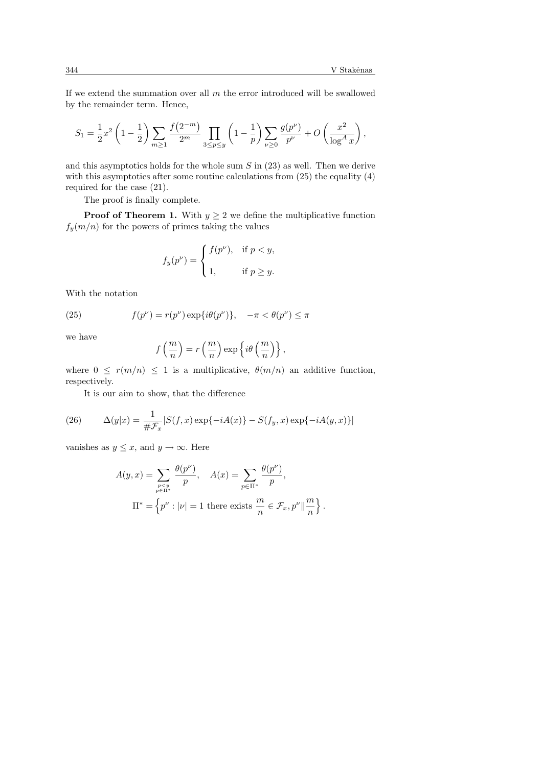If we extend the summation over all  $m$  the error introduced will be swallowed by the remainder term. Hence,

$$
S_1 = \frac{1}{2}x^2 \left(1 - \frac{1}{2}\right) \sum_{m \ge 1} \frac{f(2^{-m})}{2^m} \prod_{3 \le p \le y} \left(1 - \frac{1}{p}\right) \sum_{\nu \ge 0} \frac{g(p^{\nu})}{p^{\nu}} + O\left(\frac{x^2}{\log^A x}\right),
$$

and this asymptotics holds for the whole sum  $S$  in  $(23)$  as well. Then we derive with this asymptotics after some routine calculations from  $(25)$  the equality  $(4)$ required for the case (21).

The proof is finally complete.

**Proof of Theorem 1.** With  $y \geq 2$  we define the multiplicative function  $f_y(m/n)$  for the powers of primes taking the values

$$
f_y(p^{\nu}) = \begin{cases} f(p^{\nu}), & \text{if } p < y, \\ 1, & \text{if } p \ge y. \end{cases}
$$

With the notation

(25) 
$$
f(p^{\nu}) = r(p^{\nu}) \exp{\lbrace i\theta(p^{\nu})\rbrace}, \quad -\pi < \theta(p^{\nu}) \leq \pi
$$

we have

$$
f\left(\frac{m}{n}\right) = r\left(\frac{m}{n}\right) \exp\left\{i\theta\left(\frac{m}{n}\right)\right\},\,
$$

where  $0 \leq r(m/n) \leq 1$  is a multiplicative,  $\theta(m/n)$  an additive function, respectively.

It is our aim to show, that the difference

(26) 
$$
\Delta(y|x) = \frac{1}{\#\mathcal{F}_x} |S(f, x) \exp\{-iA(x)\} - S(f_y, x) \exp\{-iA(y, x)\}\|
$$

vanishes as  $y \leq x$ , and  $y \to \infty$ . Here

$$
A(y, x) = \sum_{\substack{p \le y \\ p \in \Pi^*}} \frac{\theta(p^{\nu})}{p}, \quad A(x) = \sum_{p \in \Pi^*} \frac{\theta(p^{\nu})}{p},
$$

$$
\Pi^* = \left\{ p^{\nu} : |\nu| = 1 \text{ there exists } \frac{m}{n} \in \mathcal{F}_x, p^{\nu} \|\frac{m}{n} \right\}.
$$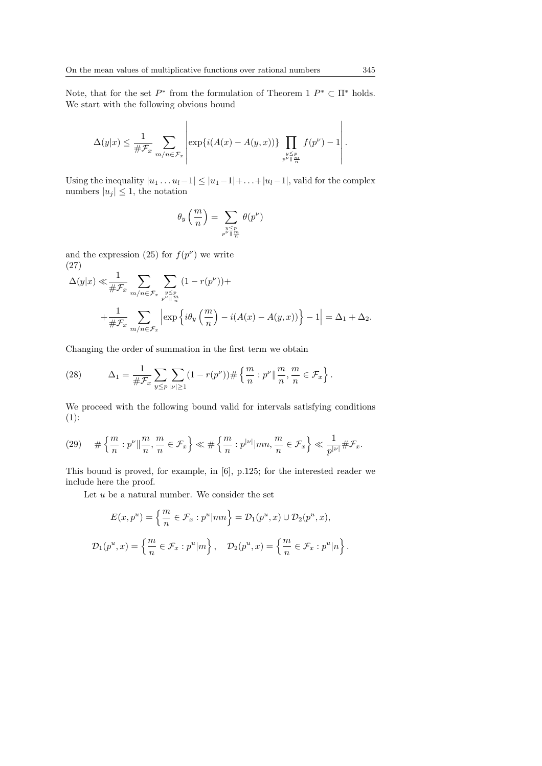Note, that for the set  $P^*$  from the formulation of Theorem 1  $P^* \subset \Pi^*$  holds. We start with the following obvious bound

$$
\Delta(y|x) \leq \frac{1}{\#\mathcal{F}_x} \sum_{m/n \in \mathcal{F}_x} \left| \exp\{i(A(x) - A(y,x))\} \prod_{\substack{y \leq p \\ p^{\nu} \parallel \frac{m}{n}}} f(p^{\nu}) - 1 \right|.
$$

Using the inequality  $|u_1 \dots u_l-1| \leq |u_1-1| + \dots + |u_l-1|$ , valid for the complex numbers  $|u_i| \leq 1$ , the notation

$$
\theta_y\left(\frac{m}{n}\right) = \sum_{\substack{y \le p \\ p^{\nu} \parallel \frac{m}{n}}} \theta(p^{\nu})
$$

and the expression (25) for  $f(p^{\nu})$  we write (27)

$$
\Delta(y|x) \ll \frac{1}{\# \mathcal{F}_x} \sum_{m/n \in \mathcal{F}_x} \sum_{\substack{y \le p \\ p^{\nu} \parallel \frac{m}{n}}} (1 - r(p^{\nu})) +
$$
  
+ 
$$
\frac{1}{\# \mathcal{F}_x} \sum_{m/n \in \mathcal{F}_x} \left| \exp \left\{ i \theta_y \left( \frac{m}{n} \right) - i(A(x) - A(y, x)) \right\} - 1 \right| = \Delta_1 + \Delta_2.
$$

Changing the order of summation in the first term we obtain

(28) 
$$
\Delta_1 = \frac{1}{\# \mathcal{F}_x} \sum_{y \leq p} \sum_{|\nu| \geq 1} (1 - r(p^{\nu})) \# \left\{ \frac{m}{n} : p^{\nu} \|\frac{m}{n}, \frac{m}{n} \in \mathcal{F}_x \right\}.
$$

We proceed with the following bound valid for intervals satisfying conditions  $(1)$ :

$$
(29) \quad \# \left\{ \frac{m}{n} : p^{\nu} \|\frac{m}{n}, \frac{m}{n} \in \mathcal{F}_x \right\} \ll \# \left\{ \frac{m}{n} : p^{|\nu|} | mn, \frac{m}{n} \in \mathcal{F}_x \right\} \ll \frac{1}{p^{|\nu|}} \# \mathcal{F}_x.
$$

This bound is proved, for example, in [6], p.125; for the interested reader we include here the proof.

Let  $u$  be a natural number. We consider the set

$$
E(x, p^u) = \left\{ \frac{m}{n} \in \mathcal{F}_x : p^u | mn \right\} = \mathcal{D}_1(p^u, x) \cup \mathcal{D}_2(p^u, x),
$$
  

$$
\mathcal{D}_1(p^u, x) = \left\{ \frac{m}{n} \in \mathcal{F}_x : p^u | m \right\}, \quad \mathcal{D}_2(p^u, x) = \left\{ \frac{m}{n} \in \mathcal{F}_x : p^u | n \right\}.
$$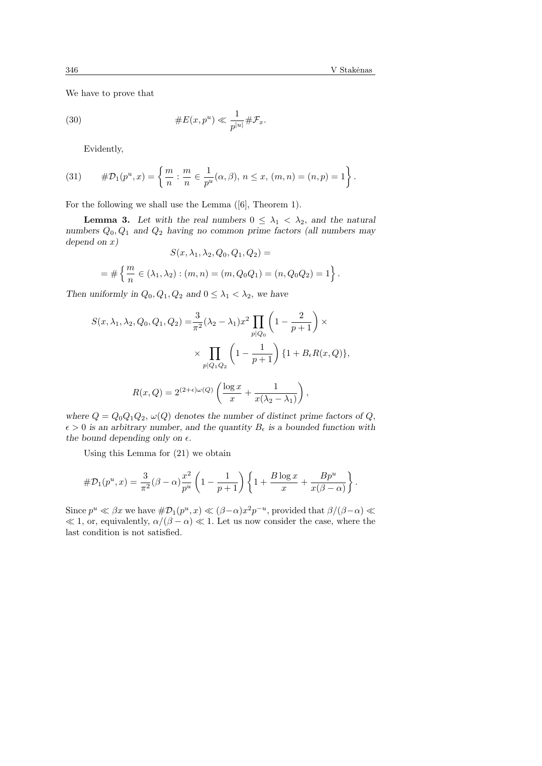We have to prove that

(30) 
$$
\#E(x, p^u) \ll \frac{1}{p^{|u|}} \# \mathcal{F}_x.
$$

Evidently,

(31) 
$$
\#\mathcal{D}_1(p^u, x) = \left\{ \frac{m}{n} : \frac{m}{n} \in \frac{1}{p^u}(\alpha, \beta), n \le x, (m, n) = (n, p) = 1 \right\}.
$$

For the following we shall use the Lemma ([6], Theorem 1).

**Lemma 3.** Let with the real numbers  $0 \leq \lambda_1 < \lambda_2$ , and the natural numbers  $Q_0, Q_1$  and  $Q_2$  having no common prime factors (all numbers may depend on  $x$ )

$$
S(x, \lambda_1, \lambda_2, Q_0, Q_1, Q_2) =
$$
  
=  $\# \left\{ \frac{m}{n} \in (\lambda_1, \lambda_2) : (m, n) = (m, Q_0 Q_1) = (n, Q_0 Q_2) = 1 \right\}.$ 

Then uniformly in  $Q_0, Q_1, Q_2$  and  $0 \leq \lambda_1 < \lambda_2$ , we have

$$
S(x, \lambda_1, \lambda_2, Q_0, Q_1, Q_2) = \frac{3}{\pi^2} (\lambda_2 - \lambda_1) x^2 \prod_{p \mid Q_0} \left( 1 - \frac{2}{p+1} \right) \times
$$

$$
\times \prod_{p \mid Q_1 Q_2} \left( 1 - \frac{1}{p+1} \right) \{ 1 + B_{\epsilon} R(x, Q) \},
$$

$$
R(x, Q) = 2^{(2+\epsilon)\omega(Q)} \left( \frac{\log x}{x} + \frac{1}{x(\lambda_2 - \lambda_1)} \right),
$$

where  $Q = Q_0 Q_1 Q_2$ ,  $\omega(Q)$  denotes the number of distinct prime factors of Q,  $\epsilon > 0$  is an arbitrary number, and the quantity  $B_{\epsilon}$  is a bounded function with the bound depending only on  $\epsilon$ .

Using this Lemma for (21) we obtain

$$
\#\mathcal{D}_1(p^u,x) = \frac{3}{\pi^2}(\beta - \alpha)\frac{x^2}{p^u}\left(1 - \frac{1}{p+1}\right)\left\{1 + \frac{B\log x}{x} + \frac{Bp^u}{x(\beta - \alpha)}\right\}.
$$

Since  $p^u \ll \beta x$  we have  $\#\mathcal{D}_1(p^u, x) \ll (\beta - \alpha)x^2 p^{-u}$ , provided that  $\beta/(\beta - \alpha) \ll \beta x$  $\ll 1$ , or, equivalently,  $\alpha/(\beta - \alpha) \ll 1$ . Let us now consider the case, where the last condition is not satisfied.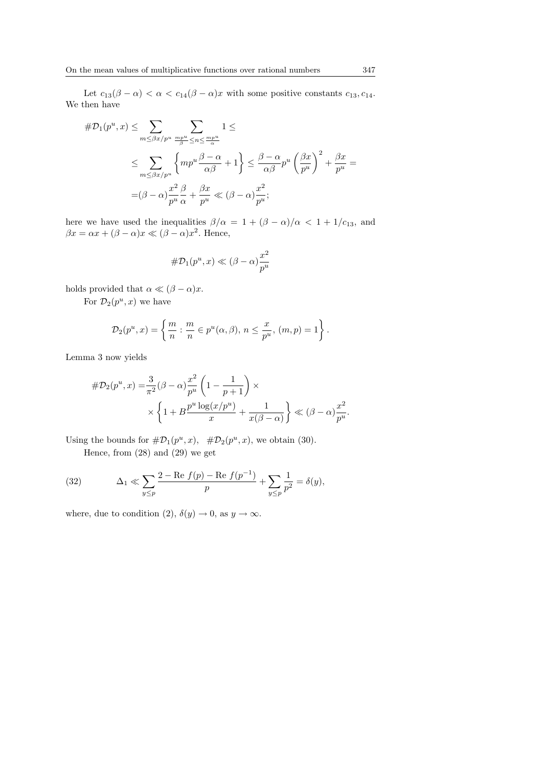Let  $c_{13}(\beta-\alpha) < \alpha < c_{14}(\beta-\alpha)x$  with some positive constants  $c_{13}, c_{14}$ . We then have

$$
\#D_1(p^u, x) \leq \sum_{m \leq \beta x / p^u} \sum_{\substack{mp^u \leq n \leq \frac{mp^u}{\alpha}}} 1 \leq
$$
  

$$
\leq \sum_{m \leq \beta x / p^u} \left\{ m p^u \frac{\beta - \alpha}{\alpha \beta} + 1 \right\} \leq \frac{\beta - \alpha}{\alpha \beta} p^u \left( \frac{\beta x}{p^u} \right)^2 + \frac{\beta x}{p^u} =
$$
  

$$
= (\beta - \alpha) \frac{x^2}{p^u} \frac{\beta}{\alpha} + \frac{\beta x}{p^u} \ll (\beta - \alpha) \frac{x^2}{p^u};
$$

here we have used the inequalities  $\beta/\alpha = 1 + (\beta - \alpha)/\alpha < 1 + 1/c_{13}$ , and  $\beta x = \alpha x + (\beta - \alpha)x \ll (\beta - \alpha)x^2$ . Hence,

$$
\#\mathcal{D}_1(p^u, x) \ll (\beta - \alpha) \frac{x^2}{p^u}
$$

holds provided that  $\alpha \ll (\beta - \alpha)x$ .

For  $\mathcal{D}_2(p^u, x)$  we have

$$
\mathcal{D}_2(p^u, x) = \left\{ \frac{m}{n} : \frac{m}{n} \in p^u(\alpha, \beta), n \leq \frac{x}{p^u}, (m, p) = 1 \right\}.
$$

Lemma 3 now yields

$$
\begin{aligned} \# \mathcal{D}_2(p^u, x) &= \frac{3}{\pi^2} (\beta - \alpha) \frac{x^2}{p^u} \left( 1 - \frac{1}{p+1} \right) \times \\ &\times \left\{ 1 + B \frac{p^u \log(x/p^u)}{x} + \frac{1}{x(\beta - \alpha)} \right\} \ll (\beta - \alpha) \frac{x^2}{p^u}. \end{aligned}
$$

Using the bounds for  $\#\mathcal{D}_1(p^u, x)$ ,  $\#\mathcal{D}_2(p^u, x)$ , we obtain (30).

Hence, from (28) and (29) we get

(32) 
$$
\Delta_1 \ll \sum_{y \le p} \frac{2 - \text{Re } f(p) - \text{Re } f(p^{-1})}{p} + \sum_{y \le p} \frac{1}{p^2} = \delta(y),
$$

where, due to condition (2),  $\delta(y) \to 0$ , as  $y \to \infty$ .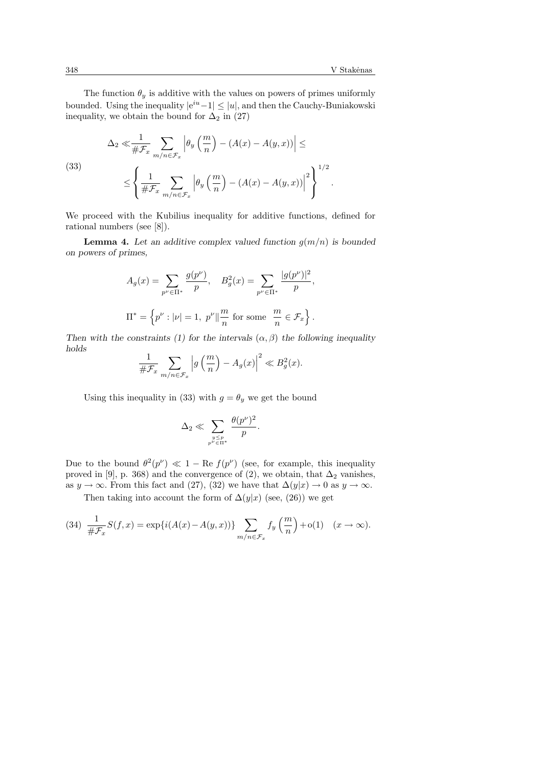.

The function  $\theta_y$  is additive with the values on powers of primes uniformly bounded. Using the inequality  $|e^{iu}-1| \leq |u|$ , and then the Cauchy-Buniakowski inequality, we obtain the bound for  $\Delta_2$  in (27)

(33)  

$$
\Delta_2 \ll \frac{1}{\# \mathcal{F}_x} \sum_{m/n \in \mathcal{F}_x} \left| \theta_y \left( \frac{m}{n} \right) - (A(x) - A(y, x)) \right| \le
$$

$$
\le \left\{ \frac{1}{\# \mathcal{F}_x} \sum_{m/n \in \mathcal{F}_x} \left| \theta_y \left( \frac{m}{n} \right) - (A(x) - A(y, x)) \right|^2 \right\}^{1/2}
$$

We proceed with the Kubilius inequality for additive functions, defined for rational numbers (see [8]).

**Lemma 4.** Let an additive complex valued function  $q(m/n)$  is bounded on powers of primes,

$$
A_g(x) = \sum_{p^{\nu} \in \Pi^*} \frac{g(p^{\nu})}{p}, \quad B_g^2(x) = \sum_{p^{\nu} \in \Pi^*} \frac{|g(p^{\nu})|^2}{p},
$$
  

$$
\Pi^* = \left\{ p^{\nu} : |\nu| = 1, \ p^{\nu} \|\frac{m}{n} \text{ for some } \frac{m}{n} \in \mathcal{F}_x \right\}.
$$

Then with the constraints (1) for the intervals  $(\alpha, \beta)$  the following inequality holds  $\overline{a}$  $\overline{a}$ 

$$
\frac{1}{\# \mathcal{F}_x} \sum_{m/n \in \mathcal{F}_x} \left| g\left(\frac{m}{n}\right) - A_g(x) \right|^2 \ll B_g^2(x).
$$

Using this inequality in (33) with  $g = \theta_y$  we get the bound

$$
\Delta_2 \ll \sum_{\genfrac{}{}{0pt}{}{y \leq p}{p^{\nu} \in \Pi^{*}}} \frac{\theta(p^{\nu})^2}{p}.
$$

Due to the bound  $\theta^2(p^{\nu}) \ll 1 - \text{Re } f(p^{\nu})$  (see, for example, this inequality proved in [9], p. 368) and the convergence of (2), we obtain, that  $\Delta_2$  vanishes, as  $y \to \infty$ . From this fact and (27), (32) we have that  $\Delta(y|x) \to 0$  as  $y \to \infty$ .

Then taking into account the form of  $\Delta(y|x)$  (see, (26)) we get

(34) 
$$
\frac{1}{\#\mathcal{F}_x}S(f,x) = \exp\{i(A(x) - A(y,x))\}\sum_{m/n \in \mathcal{F}_x} f_y\left(\frac{m}{n}\right) + o(1) \quad (x \to \infty).
$$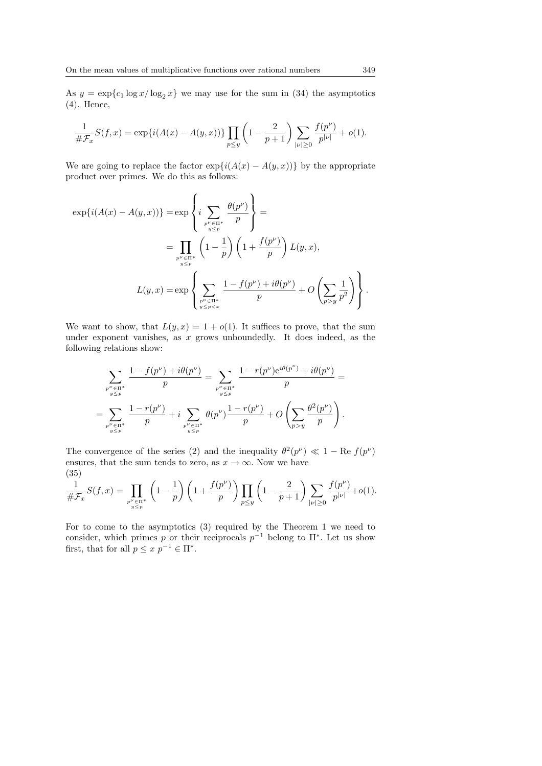As  $y = \exp\{c_1 \log x / \log_2 x\}$  we may use for the sum in (34) the asymptotics (4). Hence,

$$
\frac{1}{\# \mathcal{F}_x} S(f, x) = \exp\{i(A(x) - A(y, x))\} \prod_{p \le y} \left(1 - \frac{2}{p+1}\right) \sum_{|\nu| \ge 0} \frac{f(p^{\nu})}{p^{|\nu|}} + o(1).
$$

We are going to replace the factor  $exp{i(A(x) - A(y, x))}$  by the appropriate product over primes. We do this as follows:

$$
\exp\{i(A(x) - A(y, x))\} = \exp\left\{i \sum_{\substack{p^{\nu} \in \Pi^* \\ y \le p}} \frac{\theta(p^{\nu})}{p}\right\} =
$$
  

$$
= \prod_{\substack{p^{\nu} \in \Pi^* \\ y \le p}} \left(1 - \frac{1}{p}\right) \left(1 + \frac{f(p^{\nu})}{p}\right) L(y, x),
$$
  

$$
L(y, x) = \exp\left\{\sum_{\substack{p^{\nu} \in \Pi^* \\ y \le p < x}} \frac{1 - f(p^{\nu}) + i\theta(p^{\nu})}{p} + O\left(\sum_{p > y} \frac{1}{p^2}\right)\right\}.
$$

We want to show, that  $L(y, x) = 1 + o(1)$ . It suffices to prove, that the sum under exponent vanishes, as  $x$  grows unboundedly. It does indeed, as the following relations show:

$$
\sum_{\substack{p^{\nu} \in \Pi^* \\ y \leq p}} \frac{1 - f(p^{\nu}) + i\theta(p^{\nu})}{p} = \sum_{\substack{p^{\nu} \in \Pi^* \\ y \leq p}} \frac{1 - r(p^{\nu})e^{i\theta(p^{\nu})} + i\theta(p^{\nu})}{p} =
$$
  
= 
$$
\sum_{\substack{p^{\nu} \in \Pi^* \\ y \leq p}} \frac{1 - r(p^{\nu})}{p} + i \sum_{\substack{p^{\nu} \in \Pi^* \\ y \leq p}} \theta(p^{\nu}) \frac{1 - r(p^{\nu})}{p} + O\left(\sum_{p > y} \frac{\theta^2(p^{\nu})}{p}\right).
$$

The convergence of the series (2) and the inequality  $\theta^2(p^{\nu}) \ll 1 - \text{Re } f(p^{\nu})$ ensures, that the sum tends to zero, as  $x \to \infty$ . Now we have (35)

(33)  

$$
\frac{1}{\#\mathcal{F}_x}S(f,x) = \prod_{\substack{p^{\nu} \in \Pi^* \\ y \le p}} \left(1 - \frac{1}{p}\right) \left(1 + \frac{f(p^{\nu})}{p}\right) \prod_{p \le y} \left(1 - \frac{2}{p+1}\right) \sum_{|\nu| \ge 0} \frac{f(p^{\nu})}{p^{|\nu|}} + o(1).
$$

For to come to the asymptotics (3) required by the Theorem 1 we need to consider, which primes p or their reciprocals  $p^{-1}$  belong to  $\Pi^*$ . Let us show first, that for all  $p \leq x \ p^{-1} \in \Pi^*$ .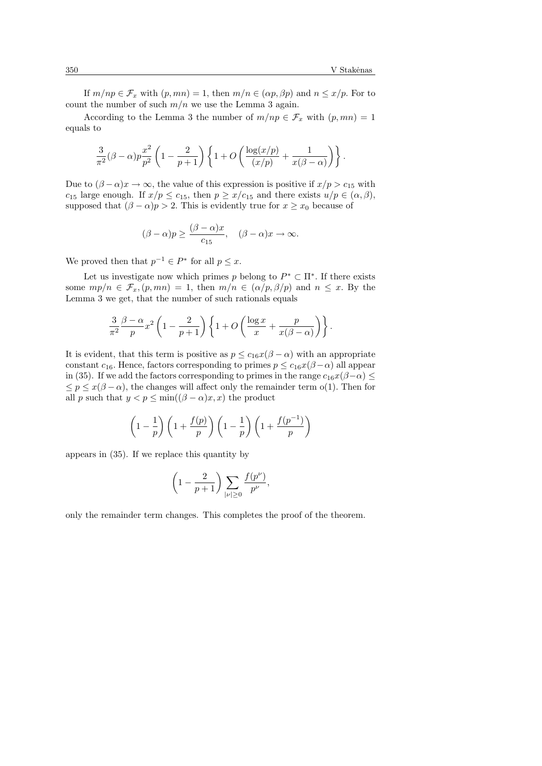If  $m(np \in \mathcal{F}_x$  with  $(p, mn) = 1$ , then  $m/n \in (\alpha p, \beta p)$  and  $n \leq x/p$ . For to count the number of such  $m/n$  we use the Lemma 3 again.

According to the Lemma 3 the number of  $m(np \in \mathcal{F}_x$  with  $(p, mn) = 1$ equals to

$$
\frac{3}{\pi^2}(\beta-\alpha)p\frac{x^2}{p^2}\left(1-\frac{2}{p+1}\right)\left\{1+O\left(\frac{\log(x/p)}{(x/p)}+\frac{1}{x(\beta-\alpha)}\right)\right\}.
$$

Due to  $(\beta - \alpha)x \to \infty$ , the value of this expression is positive if  $x/p > c_{15}$  with  $c_{15}$  large enough. If  $x/p \leq c_{15}$ , then  $p \geq x/c_{15}$  and there exists  $u/p \in (\alpha, \beta)$ , supposed that  $(\beta - \alpha)p > 2$ . This is evidently true for  $x \geq x_0$  because of

$$
(\beta - \alpha)p \ge \frac{(\beta - \alpha)x}{c_{15}}, \quad (\beta - \alpha)x \to \infty.
$$

We proved then that  $p^{-1} \in P^*$  for all  $p \leq x$ .

Let us investigate now which primes p belong to  $P^* \subset \Pi^*$ . If there exists some  $mp/n \in \mathcal{F}_x$ ,  $(p, mn) = 1$ , then  $m/n \in (\alpha/p, \beta/p)$  and  $n \leq x$ . By the Lemma 3 we get, that the number of such rationals equals

$$
\frac{3}{\pi^2} \frac{\beta - \alpha}{p} x^2 \left( 1 - \frac{2}{p+1} \right) \left\{ 1 + O\left( \frac{\log x}{x} + \frac{p}{x(\beta - \alpha)} \right) \right\}.
$$

It is evident, that this term is positive as  $p \leq c_{16}x(\beta - \alpha)$  with an appropriate constant  $c_{16}$ . Hence, factors corresponding to primes  $p \leq c_{16}x(\beta-\alpha)$  all appear in (35). If we add the factors corresponding to primes in the range  $c_{16}x(\beta-\alpha) \leq$  $\leq p \leq x(\beta - \alpha)$ , the changes will affect only the remainder term o(1). Then for all p such that  $y < p \le \min((\beta - \alpha)x, x)$  the product

$$
\left(1-\frac{1}{p}\right)\left(1+\frac{f(p)}{p}\right)\left(1-\frac{1}{p}\right)\left(1+\frac{f(p^{-1})}{p}\right)
$$

appears in (35). If we replace this quantity by

$$
\left(1-\frac{2}{p+1}\right)\sum_{|\nu|\geq 0}\frac{f(p^{\nu})}{p^{\nu}},
$$

only the remainder term changes. This completes the proof of the theorem.